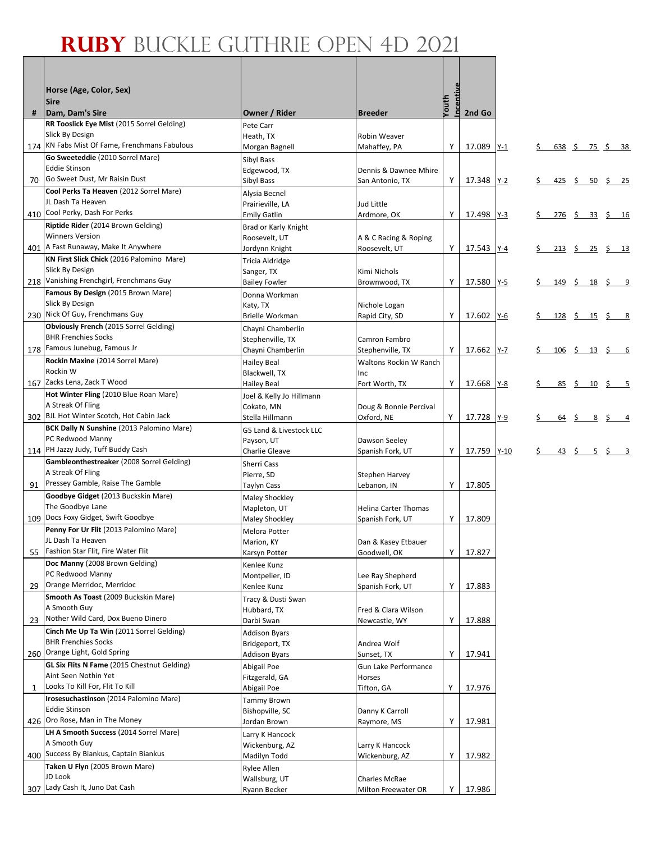Г

|              | Horse (Age, Color, Sex)                                                           |                                       |                                        |           |             |     |                                                            |                                                              |
|--------------|-----------------------------------------------------------------------------------|---------------------------------------|----------------------------------------|-----------|-------------|-----|------------------------------------------------------------|--------------------------------------------------------------|
|              | <b>Sire</b>                                                                       |                                       |                                        | Incentive |             |     |                                                            |                                                              |
| #            | Dam, Dam's Sire                                                                   | Owner / Rider                         | <b>Breeder</b>                         | Youth     | 2nd Go      |     |                                                            |                                                              |
|              | RR Tooslick Eye Mist (2015 Sorrel Gelding)                                        | Pete Carr                             |                                        |           |             |     |                                                            |                                                              |
|              | Slick By Design                                                                   | Heath, TX                             | Robin Weaver                           |           |             |     |                                                            |                                                              |
|              | 174 KN Fabs Mist Of Fame, Frenchmans Fabulous<br>Go Sweeteddie (2010 Sorrel Mare) | Morgan Bagnell                        | Mahaffey, PA                           | Υ         | 17.089 Y-1  |     | 638 \$ 75 \$ 38                                            |                                                              |
|              | <b>Eddie Stinson</b>                                                              | Sibyl Bass<br>Edgewood, TX            | Dennis & Dawnee Mhire                  |           |             |     |                                                            |                                                              |
|              | 70 Go Sweet Dust, Mr Raisin Dust                                                  | Sibyl Bass                            | San Antonio, TX                        | Υ         | 17.348 Y-2  |     | $\frac{425}{5}$ \$ 50 \$ 25                                |                                                              |
|              | Cool Perks Ta Heaven (2012 Sorrel Mare)                                           | Alysia Becnel                         |                                        |           |             |     |                                                            |                                                              |
|              | JL Dash Ta Heaven                                                                 | Prairieville, LA                      | Jud Little                             |           |             |     |                                                            |                                                              |
|              | 410 Cool Perky, Dash For Perks                                                    | <b>Emily Gatlin</b>                   | Ardmore, OK                            | Υ         | 17.498 Y-3  | \$. |                                                            | $\frac{276}{5}$ $\frac{5}{23}$ $\frac{3}{5}$ $\frac{16}{21}$ |
|              | Riptide Rider (2014 Brown Gelding)<br><b>Winners Version</b>                      | Brad or Karly Knight                  |                                        |           |             |     |                                                            |                                                              |
|              | 401   A Fast Runaway, Make It Anywhere                                            | Roosevelt, UT<br>Jordynn Knight       | A & C Racing & Roping<br>Roosevelt, UT | Υ         | 17.543 Y-4  | S.  |                                                            | $213 \t5 25 \t5 13$                                          |
|              | KN First Slick Chick (2016 Palomino Mare)                                         | Tricia Aldridge                       |                                        |           |             |     |                                                            |                                                              |
|              | Slick By Design                                                                   | Sanger, TX                            | Kimi Nichols                           |           |             |     |                                                            |                                                              |
|              | 218 Vanishing Frenchgirl, Frenchmans Guy                                          | <b>Bailey Fowler</b>                  | Brownwood, TX                          | Υ         | 17.580 Y-5  | \$  | $\frac{149}{5}$ $\frac{5}{18}$ $\frac{5}{5}$ $\frac{9}{5}$ |                                                              |
|              | Famous By Design (2015 Brown Mare)                                                | Donna Workman                         |                                        |           |             |     |                                                            |                                                              |
|              | Slick By Design<br>230 Nick Of Guy, Frenchmans Guy                                | Katy, TX                              | Nichole Logan                          |           |             |     |                                                            |                                                              |
|              | Obviously French (2015 Sorrel Gelding)                                            | Brielle Workman                       | Rapid City, SD                         | Υ         | 17.602 Y-6  |     | <u>128 \$ 15 \$ 8</u>                                      |                                                              |
|              | <b>BHR Frenchies Socks</b>                                                        | Chayni Chamberlin<br>Stephenville, TX | Camron Fambro                          |           |             |     |                                                            |                                                              |
|              | 178 Famous Junebug, Famous Jr                                                     | Chayni Chamberlin                     | Stephenville, TX                       | Υ         | 17.662 Y-7  |     | $\frac{106}{5}$ $\frac{5}{13}$ $\frac{5}{5}$ 6             |                                                              |
|              | Rockin Maxine (2014 Sorrel Mare)                                                  | <b>Hailey Beal</b>                    | Waltons Rockin W Ranch                 |           |             |     |                                                            |                                                              |
|              | Rockin W                                                                          | Blackwell, TX                         | Inc                                    |           |             |     |                                                            |                                                              |
|              | 167 Zacks Lena, Zack T Wood                                                       | Hailey Beal                           | Fort Worth, TX                         | Υ         | 17.668 Y-8  | \$  | 85 \$ 10                                                   | $\frac{1}{2}$ 5                                              |
|              | Hot Winter Fling (2010 Blue Roan Mare)<br>A Streak Of Fling                       | Joel & Kelly Jo Hillmann              |                                        |           |             |     |                                                            |                                                              |
|              | 302 BJL Hot Winter Scotch, Hot Cabin Jack                                         | Cokato, MN<br>Stella Hillmann         | Doug & Bonnie Percival<br>Oxford, NE   | Y         | 17.728 Y-9  |     | $\frac{64}{5}$ $\frac{64}{5}$ $\frac{8}{5}$ $\frac{64}{1}$ |                                                              |
|              | BCK Dally N Sunshine (2013 Palomino Mare)                                         | G5 Land & Livestock LLC               |                                        |           |             |     |                                                            |                                                              |
|              | PC Redwood Manny                                                                  | Payson, UT                            | Dawson Seeley                          |           |             |     |                                                            |                                                              |
|              | 114 PH Jazzy Judy, Tuff Buddy Cash                                                | Charlie Gleave                        | Spanish Fork, UT                       | Υ         | 17.759 Y-10 | \$  | $\frac{43}{5}$ $\frac{5}{5}$ $\frac{5}{1}$ $\frac{3}{1}$   |                                                              |
|              | Gambleonthestreaker (2008 Sorrel Gelding)                                         | Sherri Cass                           |                                        |           |             |     |                                                            |                                                              |
|              | A Streak Of Fling<br>91 Pressey Gamble, Raise The Gamble                          | Pierre, SD                            | <b>Stephen Harvey</b>                  |           |             |     |                                                            |                                                              |
|              | Goodbye Gidget (2013 Buckskin Mare)                                               | <b>Taylyn Cass</b>                    | Lebanon, IN                            | Υ         | 17.805      |     |                                                            |                                                              |
|              | The Goodbye Lane                                                                  | Maley Shockley<br>Mapleton, UT        | <b>Helina Carter Thomas</b>            |           |             |     |                                                            |                                                              |
|              | 109 Docs Foxy Gidget, Swift Goodbye                                               | Maley Shockley                        | Spanish Fork, UT                       | Y         | 17.809      |     |                                                            |                                                              |
|              | Penny For Ur Flit (2013 Palomino Mare)                                            | Melora Potter                         |                                        |           |             |     |                                                            |                                                              |
|              | IL Dash Ta Heaven                                                                 | Marion, KY                            | Dan & Kasey Etbauer                    |           |             |     |                                                            |                                                              |
| 55           | Fashion Star Flit, Fire Water Flit<br>Doc Manny (2008 Brown Gelding)              | Karsyn Potter                         | Goodwell, OK                           | Υ         | 17.827      |     |                                                            |                                                              |
|              | PC Redwood Manny                                                                  | Kenlee Kunz<br>Montpelier, ID         | Lee Ray Shepherd                       |           |             |     |                                                            |                                                              |
| 29           | Orange Merridoc, Merridoc                                                         | Kenlee Kunz                           | Spanish Fork, UT                       | Υ         | 17.883      |     |                                                            |                                                              |
|              | Smooth As Toast (2009 Buckskin Mare)                                              | Tracy & Dusti Swan                    |                                        |           |             |     |                                                            |                                                              |
|              | A Smooth Guy                                                                      | Hubbard, TX                           | Fred & Clara Wilson                    |           |             |     |                                                            |                                                              |
|              | 23 Nother Wild Card, Dox Bueno Dinero                                             | Darbi Swan                            | Newcastle, WY                          | Υ         | 17.888      |     |                                                            |                                                              |
|              | Cinch Me Up Ta Win (2011 Sorrel Gelding)<br><b>BHR Frenchies Socks</b>            | <b>Addison Byars</b>                  |                                        |           |             |     |                                                            |                                                              |
|              | 260 Orange Light, Gold Spring                                                     | Bridgeport, TX<br>Addison Byars       | Andrea Wolf<br>Sunset, TX              | Υ         | 17.941      |     |                                                            |                                                              |
|              | <b>GL Six Flits N Fame</b> (2015 Chestnut Gelding)                                | Abigail Poe                           | Gun Lake Performance                   |           |             |     |                                                            |                                                              |
|              | Aint Seen Nothin Yet                                                              | Fitzgerald, GA                        | Horses                                 |           |             |     |                                                            |                                                              |
| $\mathbf{1}$ | Looks To Kill For, Flit To Kill                                                   | Abigail Poe                           | Tifton, GA                             | Υ         | 17.976      |     |                                                            |                                                              |
|              | Irosesuchastinson (2014 Palomino Mare)                                            | Tammy Brown                           |                                        |           |             |     |                                                            |                                                              |
|              | <b>Eddie Stinson</b><br>426 Oro Rose, Man in The Money                            | Bishopville, SC                       | Danny K Carroll                        |           |             |     |                                                            |                                                              |
|              | LH A Smooth Success (2014 Sorrel Mare)                                            | Jordan Brown                          | Raymore, MS                            | Υ         | 17.981      |     |                                                            |                                                              |
|              | A Smooth Guy                                                                      | Larry K Hancock<br>Wickenburg, AZ     | Larry K Hancock                        |           |             |     |                                                            |                                                              |
|              | 400 Success By Biankus, Captain Biankus                                           | Madilyn Todd                          | Wickenburg, AZ                         | Υ         | 17.982      |     |                                                            |                                                              |
|              | Taken U Flyn (2005 Brown Mare)                                                    | Rylee Allen                           |                                        |           |             |     |                                                            |                                                              |
|              | JD Look                                                                           | Wallsburg, UT                         | Charles McRae                          |           |             |     |                                                            |                                                              |
| 307          | Lady Cash It, Juno Dat Cash                                                       | Ryann Becker                          | Milton Freewater OR                    | Υ         | 17.986      |     |                                                            |                                                              |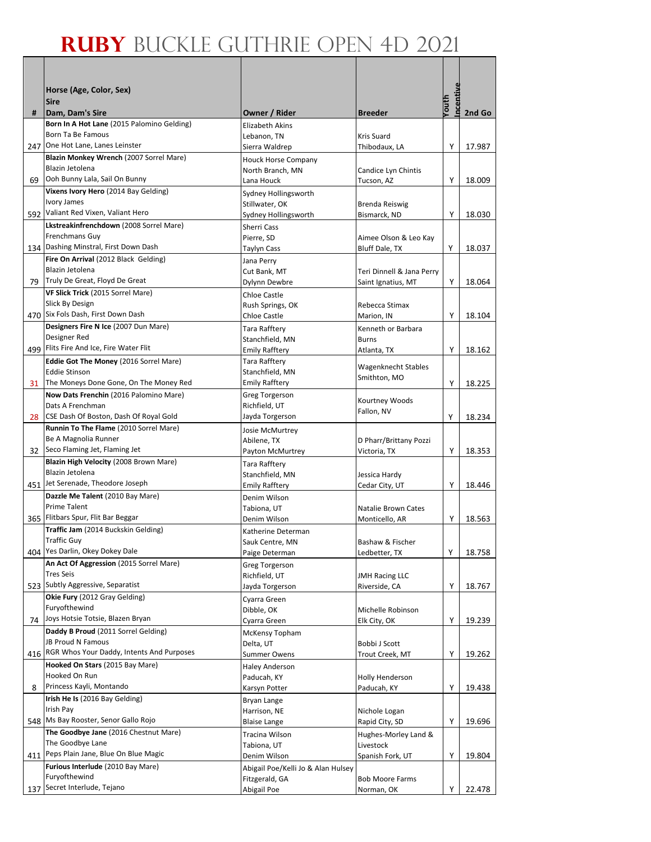|     | Horse (Age, Color, Sex)                                                          |                                          |                                      |                   |        |
|-----|----------------------------------------------------------------------------------|------------------------------------------|--------------------------------------|-------------------|--------|
|     | <b>Sire</b>                                                                      |                                          |                                      | ncentive<br>Youth |        |
| #   | Dam, Dam's Sire                                                                  | Owner / Rider                            | <b>Breeder</b>                       |                   | 2nd Go |
|     | Born In A Hot Lane (2015 Palomino Gelding)                                       | <b>Elizabeth Akins</b>                   |                                      |                   |        |
|     | Born Ta Be Famous<br>One Hot Lane, Lanes Leinster                                | Lebanon. TN                              | Kris Suard                           |                   |        |
| 247 | Blazin Monkey Wrench (2007 Sorrel Mare)                                          | Sierra Waldrep                           | Thibodaux, LA                        | Y                 | 17.987 |
|     | Blazin Jetolena                                                                  | Houck Horse Company<br>North Branch, MN  | Candice Lyn Chintis                  |                   |        |
| 69  | Ooh Bunny Lala, Sail On Bunny                                                    | Lana Houck                               | Tucson, AZ                           | Y                 | 18.009 |
|     | Vixens Ivory Hero (2014 Bay Gelding)                                             | Sydney Hollingsworth                     |                                      |                   |        |
|     | Ivory James                                                                      | Stillwater, OK                           | Brenda Reiswig                       |                   |        |
|     | 592 Valiant Red Vixen, Valiant Hero<br>Lkstreakinfrenchdown (2008 Sorrel Mare)   | Sydney Hollingsworth                     | Bismarck, ND                         | Y                 | 18.030 |
|     | Frenchmans Guy                                                                   | Sherri Cass<br>Pierre, SD                | Aimee Olson & Leo Kay                |                   |        |
|     | 134 Dashing Minstral, First Down Dash                                            | Taylyn Cass                              | Bluff Dale, TX                       | Υ                 | 18.037 |
|     | Fire On Arrival (2012 Black Gelding)                                             | Jana Perry                               |                                      |                   |        |
|     | Blazin Jetolena                                                                  | Cut Bank, MT                             | Teri Dinnell & Jana Perry            |                   |        |
|     | 79 Truly De Great, Floyd De Great                                                | Dylynn Dewbre                            | Saint Ignatius, MT                   | Y                 | 18.064 |
|     | VF Slick Trick (2015 Sorrel Mare)<br>Slick By Design                             | Chloe Castle                             |                                      |                   |        |
|     | 470 Six Fols Dash, First Down Dash                                               | Rush Springs, OK<br><b>Chloe Castle</b>  | Rebecca Stimax<br>Marion, IN         | Y                 | 18.104 |
|     | Designers Fire N Ice (2007 Dun Mare)                                             | Tara Rafftery                            | Kenneth or Barbara                   |                   |        |
|     | Designer Red                                                                     | Stanchfield, MN                          | <b>Burns</b>                         |                   |        |
|     | 499 Flits Fire And Ice, Fire Water Flit                                          | <b>Emily Rafftery</b>                    | Atlanta, TX                          | Υ                 | 18.162 |
|     | <b>Eddie Got The Money (2016 Sorrel Mare)</b>                                    | Tara Rafftery                            | <b>Wagenknecht Stables</b>           |                   |        |
|     | <b>Eddie Stinson</b>                                                             | Stanchfield, MN                          | Smithton, MO                         |                   |        |
| 31  | The Moneys Done Gone, On The Money Red<br>Now Dats Frenchin (2016 Palomino Mare) | <b>Emily Rafftery</b><br>Greg Torgerson  |                                      | Y                 | 18.225 |
|     | Dats A Frenchman                                                                 | Richfield, UT                            | Kourtney Woods                       |                   |        |
|     | 28 CSE Dash Of Boston, Dash Of Royal Gold                                        | Jayda Torgerson                          | Fallon, NV                           | Υ                 | 18.234 |
|     | Runnin To The Flame (2010 Sorrel Mare)                                           | <b>Josie McMurtrey</b>                   |                                      |                   |        |
|     | Be A Magnolia Runner                                                             | Abilene, TX                              | D Pharr/Brittany Pozzi               |                   |        |
| 32  | Seco Flaming Jet, Flaming Jet                                                    | Payton McMurtrey                         | Victoria, TX                         | Υ                 | 18.353 |
|     | Blazin High Velocity (2008 Brown Mare)<br>Blazin Jetolena                        | Tara Rafftery                            |                                      |                   |        |
|     | 451 Jet Serenade, Theodore Joseph                                                | Stanchfield, MN<br><b>Emily Rafftery</b> | Jessica Hardy<br>Cedar City, UT      | Y                 | 18.446 |
|     | Dazzle Me Talent (2010 Bay Mare)                                                 | Denim Wilson                             |                                      |                   |        |
|     | Prime Talent                                                                     | Tabiona, UT                              | Natalie Brown Cates                  |                   |        |
|     | 365 Flitbars Spur, Flit Bar Beggar                                               | Denim Wilson                             | Monticello, AR                       | Υ                 | 18.563 |
|     | Traffic Jam (2014 Buckskin Gelding)                                              | Katherine Determan                       |                                      |                   |        |
|     | Traffic Guy<br>404 Yes Darlin, Okey Dokey Dale                                   | Sauk Centre, MN<br>Paige Determan        | Bashaw & Fischer<br>Ledbetter, TX    | Υ                 | 18.758 |
|     | An Act Of Aggression (2015 Sorrel Mare)                                          | Greg Torgerson                           |                                      |                   |        |
|     | <b>Tres Seis</b>                                                                 | Richfield, UT                            | <b>JMH Racing LLC</b>                |                   |        |
|     | 523 Subtly Aggressive, Separatist                                                | Jayda Torgerson                          | Riverside, CA                        | Υ                 | 18.767 |
|     | Okie Fury (2012 Gray Gelding)                                                    | Cyarra Green                             |                                      |                   |        |
| 74  | Furyofthewind<br>Joys Hotsie Totsie, Blazen Bryan                                | Dibble, OK                               | Michelle Robinson                    |                   |        |
|     | Daddy B Proud (2011 Sorrel Gelding)                                              | Cyarra Green<br>McKensy Topham           | Elk City, OK                         | Υ                 | 19.239 |
|     | JB Proud N Famous                                                                | Delta, UT                                | Bobbi J Scott                        |                   |        |
|     | 416 RGR Whos Your Daddy, Intents And Purposes                                    | <b>Summer Owens</b>                      | Trout Creek, MT                      | Υ                 | 19.262 |
|     | Hooked On Stars (2015 Bay Mare)                                                  | <b>Haley Anderson</b>                    |                                      |                   |        |
|     | Hooked On Run                                                                    | Paducah, KY                              | Holly Henderson                      |                   |        |
| 8   | Princess Kayli, Montando<br>Irish He Is (2016 Bay Gelding)                       | Karsyn Potter                            | Paducah, KY                          | Υ                 | 19.438 |
|     | Irish Pay                                                                        | Bryan Lange<br>Harrison, NE              | Nichole Logan                        |                   |        |
|     | 548 Ms Bay Rooster, Senor Gallo Rojo                                             | <b>Blaise Lange</b>                      | Rapid City, SD                       | Υ                 | 19.696 |
|     | The Goodbye Jane (2016 Chestnut Mare)                                            | Tracina Wilson                           | Hughes-Morley Land &                 |                   |        |
|     | The Goodbye Lane                                                                 | Tabiona, UT                              | Livestock                            |                   |        |
|     | 411 Peps Plain Jane, Blue On Blue Magic                                          | Denim Wilson                             | Spanish Fork, UT                     | Υ                 | 19.804 |
|     | Furious Interlude (2010 Bay Mare)<br>Furyofthewind                               | Abigail Poe/Kelli Jo & Alan Hulsey       |                                      |                   |        |
|     | 137 Secret Interlude, Tejano                                                     | Fitzgerald, GA<br>Abigail Poe            | <b>Bob Moore Farms</b><br>Norman, OK | Υ                 | 22.478 |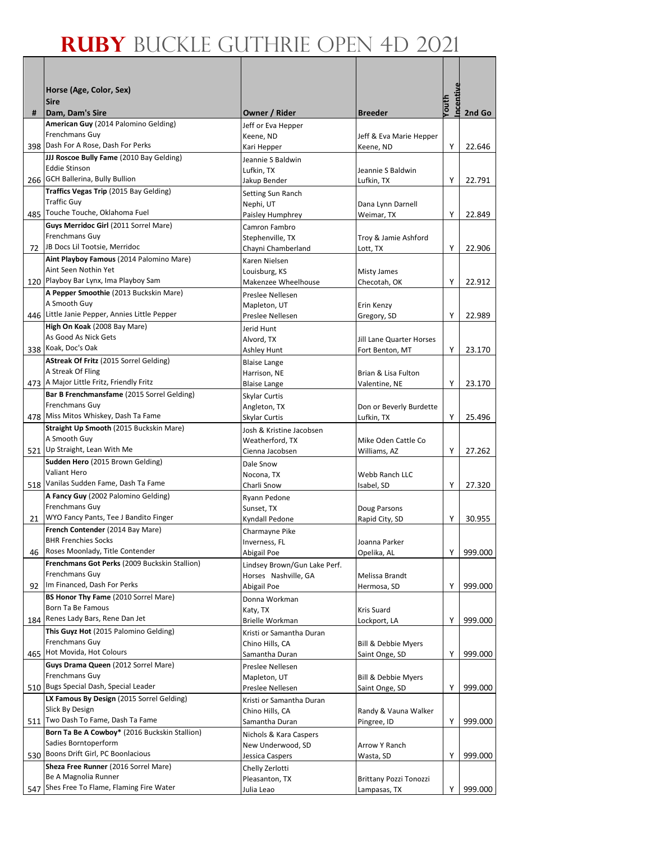|    | Horse (Age, Color, Sex)<br><b>Sire</b>                        |                                             |                                       | ncentive    |         |
|----|---------------------------------------------------------------|---------------------------------------------|---------------------------------------|-------------|---------|
| #  | Dam, Dam's Sire                                               | Owner / Rider                               | <b>Breeder</b>                        | <u>umoy</u> | 2nd Go  |
|    | American Guy (2014 Palomino Gelding)                          | Jeff or Eva Hepper                          |                                       |             |         |
|    | Frenchmans Guy                                                | Keene, ND                                   | Jeff & Eva Marie Hepper               |             |         |
|    | 398 Dash For A Rose, Dash For Perks                           | Kari Hepper                                 | Keene, ND                             | Y           | 22.646  |
|    | JJJ Roscoe Bully Fame (2010 Bay Gelding)                      | Jeannie S Baldwin                           |                                       |             |         |
|    | <b>Eddie Stinson</b><br>266 GCH Ballerina, Bully Bullion      | Lufkin, TX                                  | Jeannie S Baldwin                     |             |         |
|    | Traffics Vegas Trip (2015 Bay Gelding)                        | Jakup Bender                                | Lufkin, TX                            | Y           | 22.791  |
|    | <b>Traffic Guy</b>                                            | Setting Sun Ranch<br>Nephi, UT              | Dana Lynn Darnell                     |             |         |
|    | 485 Touche Touche, Oklahoma Fuel                              | Paisley Humphrey                            | Weimar, TX                            | Υ           | 22.849  |
|    | Guys Merridoc Girl (2011 Sorrel Mare)                         | Camron Fambro                               |                                       |             |         |
|    | Frenchmans Guy                                                | Stephenville, TX                            | Troy & Jamie Ashford                  |             |         |
|    | 72 JB Docs Lil Tootsie, Merridoc                              | Chayni Chamberland                          | Lott, TX                              | Υ           | 22.906  |
|    | Aint Playboy Famous (2014 Palomino Mare)                      | Karen Nielsen                               |                                       |             |         |
|    | Aint Seen Nothin Yet<br>120 Playboy Bar Lynx, Ima Playboy Sam | Louisburg, KS                               | Misty James                           |             |         |
|    | A Pepper Smoothie (2013 Buckskin Mare)                        | Makenzee Wheelhouse                         | Checotah, OK                          | Υ           | 22.912  |
|    | A Smooth Guy                                                  | Preslee Nellesen<br>Mapleton, UT            | Erin Kenzy                            |             |         |
|    | 446 Little Janie Pepper, Annies Little Pepper                 | Preslee Nellesen                            | Gregory, SD                           | Υ           | 22.989  |
|    | High On Koak (2008 Bay Mare)                                  | Jerid Hunt                                  |                                       |             |         |
|    | As Good As Nick Gets                                          | Alvord, TX                                  | Jill Lane Quarter Horses              |             |         |
|    | 338 Koak, Doc's Oak                                           | Ashley Hunt                                 | Fort Benton, MT                       | Υ           | 23.170  |
|    | AStreak Of Fritz (2015 Sorrel Gelding)                        | <b>Blaise Lange</b>                         |                                       |             |         |
|    | A Streak Of Fling                                             | Harrison, NE                                | Brian & Lisa Fulton                   |             |         |
|    | 473 A Major Little Fritz, Friendly Fritz                      | <b>Blaise Lange</b>                         | Valentine, NE                         | Υ           | 23.170  |
|    | Bar B Frenchmansfame (2015 Sorrel Gelding)<br>Frenchmans Guy  | Skylar Curtis                               |                                       |             |         |
|    | 478 Miss Mitos Whiskey, Dash Ta Fame                          | Angleton, TX<br>Skylar Curtis               | Don or Beverly Burdette<br>Lufkin, TX | Υ           | 25.496  |
|    | Straight Up Smooth (2015 Buckskin Mare)                       | Josh & Kristine Jacobsen                    |                                       |             |         |
|    | A Smooth Guy                                                  | Weatherford, TX                             | Mike Oden Cattle Co                   |             |         |
|    | 521 Up Straight, Lean With Me                                 | Cienna Jacobsen                             | Williams, AZ                          | Υ           | 27.262  |
|    | Sudden Hero (2015 Brown Gelding)                              | Dale Snow                                   |                                       |             |         |
|    | Valiant Hero                                                  | Nocona. TX                                  | <b>Webb Ranch LLC</b>                 |             |         |
|    | 518 Vanilas Sudden Fame, Dash Ta Fame                         | Charli Snow                                 | Isabel, SD                            | Υ           | 27.320  |
|    | A Fancy Guy (2002 Palomino Gelding)<br>Frenchmans Guy         | Ryann Pedone                                |                                       |             |         |
| 21 | WYO Fancy Pants, Tee J Bandito Finger                         | Sunset, TX<br>Kyndall Pedone                | Doug Parsons                          | Υ           | 30.955  |
|    | French Contender (2014 Bay Mare)                              | Charmayne Pike                              | Rapid City, SD                        |             |         |
|    | <b>BHR Frenchies Socks</b>                                    | Inverness, FL                               | Joanna Parker                         |             |         |
| 46 | Roses Moonlady, Title Contender                               | Abigail Poe                                 | Opelika, AL                           | Υ           | 999.000 |
|    | Frenchmans Got Perks (2009 Buckskin Stallion)                 | Lindsey Brown/Gun Lake Perf.                |                                       |             |         |
|    | Frenchmans Guy                                                | Horses Nashville, GA                        | Melissa Brandt                        |             |         |
| 92 | Im Financed, Dash For Perks                                   | Abigail Poe                                 | Hermosa, SD                           | Υ           | 999.000 |
|    | BS Honor Thy Fame (2010 Sorrel Mare)                          | Donna Workman                               |                                       |             |         |
|    | Born Ta Be Famous<br>184 Renes Lady Bars, Rene Dan Jet        | Katy, TX                                    | Kris Suard                            |             |         |
|    | This Guyz Hot (2015 Palomino Gelding)                         | Brielle Workman                             | Lockport, LA                          | Υ           | 999.000 |
|    | Frenchmans Guy                                                | Kristi or Samantha Duran<br>Chino Hills, CA | <b>Bill &amp; Debbie Myers</b>        |             |         |
|    | 465 Hot Movida, Hot Colours                                   | Samantha Duran                              | Saint Onge, SD                        | Υ           | 999.000 |
|    | Guys Drama Queen (2012 Sorrel Mare)                           | Preslee Nellesen                            |                                       |             |         |
|    | Frenchmans Guy                                                | Mapleton, UT                                | Bill & Debbie Myers                   |             |         |
|    | 510 Bugs Special Dash, Special Leader                         | Preslee Nellesen                            | Saint Onge, SD                        | Y           | 999.000 |
|    | LX Famous By Design (2015 Sorrel Gelding)                     | Kristi or Samantha Duran                    |                                       |             |         |
|    | Slick By Design<br>511 Two Dash To Fame, Dash Ta Fame         | Chino Hills, CA                             | Randy & Vauna Walker                  |             |         |
|    | Born Ta Be A Cowboy* (2016 Buckskin Stallion)                 | Samantha Duran                              | Pingree, ID                           | Y           | 999.000 |
|    | Sadies Borntoperform                                          | Nichols & Kara Caspers                      | Arrow Y Ranch                         |             |         |
|    | 530 Boons Drift Girl, PC Boonlacious                          | New Underwood, SD<br>Jessica Caspers        | Wasta, SD                             | Υ           | 999.000 |
|    | Sheza Free Runner (2016 Sorrel Mare)                          | Chelly Zerlotti                             |                                       |             |         |
|    | Be A Magnolia Runner                                          | Pleasanton, TX                              | <b>Brittany Pozzi Tonozzi</b>         |             |         |
|    | 547 Shes Free To Flame, Flaming Fire Water                    | Julia Leao                                  | Lampasas, TX                          | Y           | 999.000 |